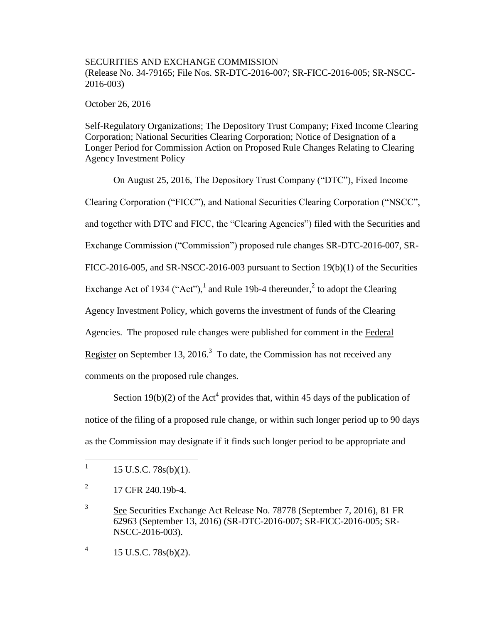## SECURITIES AND EXCHANGE COMMISSION (Release No. 34-79165; File Nos. SR-DTC-2016-007; SR-FICC-2016-005; SR-NSCC-2016-003)

October 26, 2016

Self-Regulatory Organizations; The Depository Trust Company; Fixed Income Clearing Corporation; National Securities Clearing Corporation; Notice of Designation of a Longer Period for Commission Action on Proposed Rule Changes Relating to Clearing Agency Investment Policy

On August 25, 2016, The Depository Trust Company ("DTC"), Fixed Income Clearing Corporation ("FICC"), and National Securities Clearing Corporation ("NSCC", and together with DTC and FICC, the "Clearing Agencies") filed with the Securities and Exchange Commission ("Commission") proposed rule changes SR-DTC-2016-007, SR-FICC-2016-005, and SR-NSCC-2016-003 pursuant to Section 19(b)(1) of the Securities Exchange Act of 1934 ("Act"),<sup>1</sup> and Rule 19b-4 thereunder,<sup>2</sup> to adopt the Clearing Agency Investment Policy, which governs the investment of funds of the Clearing Agencies. The proposed rule changes were published for comment in the Federal Register on September 13, 2016.<sup>3</sup> To date, the Commission has not received any comments on the proposed rule changes.

Section 19(b)(2) of the Act<sup>4</sup> provides that, within 45 days of the publication of notice of the filing of a proposed rule change, or within such longer period up to 90 days as the Commission may designate if it finds such longer period to be appropriate and

 $\frac{1}{1}$ 15 U.S.C. 78s(b)(1).

<sup>2</sup> 17 CFR 240.19b-4.

<sup>3</sup> See Securities Exchange Act Release No. 78778 (September 7, 2016), 81 FR 62963 (September 13, 2016) (SR-DTC-2016-007; SR-FICC-2016-005; SR-NSCC-2016-003).

<sup>4</sup> 15 U.S.C. 78s(b)(2).